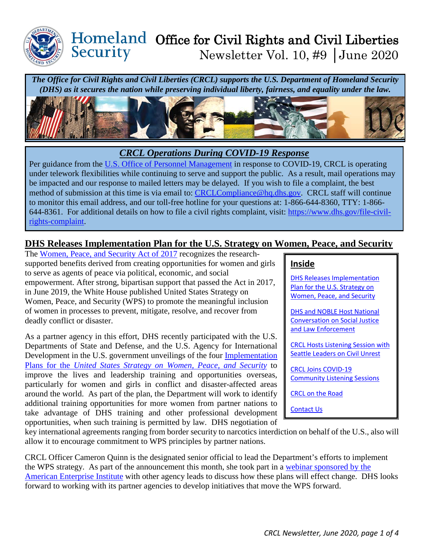

### Homeland Office for Civil Rights and Civil Liberties Security Newsletter Vol. 10, #9 │June 2020

*The Office for Civil Rights and Civil Liberties (CRCL) supports the U.S. Department of Homeland Security (DHS) as it secures the nation while preserving individual liberty, fairness, and equality under the law.* 



### *CRCL Operations During COVID-19 Response*

Per guidance from the [U.S. Office of Personnel Management](https://www.opm.gov/policy-data-oversight/covid-19/) in response to COVID-19, CRCL is operating under telework flexibilities while continuing to serve and support the public. As a result, mail operations may be impacted and our response to mailed letters may be delayed. If you wish to file a complaint, the best method of submission at this time is via email to: [CRCLCompliance@hq.dhs.gov.](mailto:CRCLCompliance@hq.dhs.gov) CRCL staff will continue to monitor this email address, and our toll-free hotline for your questions at: 1-866-644-8360, TTY: 1-866- 644-8361. For additional details on how to file a civil rights complaint, visit: [https://www.dhs.gov/file-civil](https://www.dhs.gov/file-civil-rights-complaint)[rights-complaint.](https://www.dhs.gov/file-civil-rights-complaint)

## <span id="page-0-0"></span>**DHS Releases Implementation Plan for the U.S. Strategy on Women, Peace, and Security**

The [Women, Peace, and Security Act of 2017](https://www.dhs.gov/us-strategy-women-peace-and-security) recognizes the researchsupported benefits derived from creating opportunities for women and girls to serve as agents of peace via political, economic, and social empowerment. After strong, bipartisan support that passed the Act in 2017, in June 2019, the White House published United States Strategy on Women, Peace, and Security (WPS) to promote the meaningful inclusion of women in processes to prevent, mitigate, resolve, and recover from deadly conflict or disaster.

As a partner agency in this effort, DHS recently participated with the U.S. Departments of State and Defense, and the U.S. Agency for International Development in the U.S. government unveilings of the four [Implementation](https://www.dhs.gov/us-strategy-women-peace-and-security)  Plans for the *[United States Strategy on Women, Peace, and Security](https://www.dhs.gov/us-strategy-women-peace-and-security)* to improve the lives and leadership training and opportunities overseas, particularly for women and girls in conflict and disaster-affected areas around the world. As part of the plan, the Department will work to identify additional training opportunities for more women from partner nations to take advantage of DHS training and other professional development opportunities, when such training is permitted by law. DHS negotiation of

#### **Inside**

DHS Releases [Implementation](#page-0-0)  Plan for [the U.S. Strategy on](#page-0-0)  [Women, Peace, and Security](#page-0-0) 

[DHS and NOBLE Host National](#page-1-0)  [Conversation on Social Justice](#page-1-0)  [and Law Enforcement](#page-1-0)

[CRCL Hosts Listening Session with](#page-2-0) Seattle [Leaders on Civil Unrest](#page-2-0) 

[CRCL Joins COVID-19](#page-2-1)  [Community Listening Sessions](#page-2-1) 

[CRCL on the Road](#page-3-0)

[Contact Us](#page-3-1)

key international agreements ranging from border security to narcotics interdiction on behalf of the U.S., also will allow it to encourage commitment to WPS principles by partner nations.

CRCL Officer Cameron Quinn is the designated senior official to lead the Department's efforts to implement the WPS strategy. As part of the announcement this month, she took part in a [webinar sponsored by the](https://www.aei.org/events/webinar-advancing-the-women-peace-and-security-strategy-in-2020/)  [American Enterprise Institute](https://www.aei.org/events/webinar-advancing-the-women-peace-and-security-strategy-in-2020/) with other agency leads to discuss how these plans will effect change. DHS looks forward to working with its partner agencies to develop initiatives that move the WPS forward.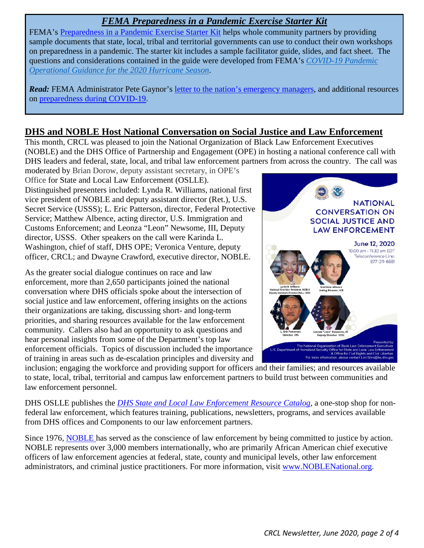## *FEMA Preparedness in a Pandemic Exercise Starter Kit*

FEMA's [Preparedness in a Pandemic Exercise Starter Kit](https://www.fema.gov/media-library/assets/documents/188454) helps whole community partners by providing sample documents that state, local, tribal and territorial governments can use to conduct their own workshops on preparedness in a pandemic. The starter kit includes a sample facilitator guide, slides, and fact sheet. The questions and considerations contained in the guide were developed from FEMA's *[COVID-19 Pandemic](https://www.fema.gov/media-library/assets/documents/188203)  [Operational Guidance for the 2020 Hurricane Season](https://www.fema.gov/media-library/assets/documents/188203)*.

*Read:* FEMA Administrator Pete Gaynor's [letter to the nation's emergency managers,](https://www.fema.gov/news-release/2020/06/01/fema-administrator-june-1-2020-letter-nations-emergency-managers) and additional resources on [preparedness during COVID-19.](https://www.consumerreports.org/emergency-preparedness/revise-emergency-plan-coronavirus-pandemic/)

## <span id="page-1-0"></span>**DHS and NOBLE Host National Conversation on Social Justice and Law Enforcement**

This month, CRCL was pleased to join the National Organization of Black Law Enforcement Executives (NOBLE) and the DHS Office of Partnership and Engagement (OPE) in hosting a national conference call with DHS leaders and federal, state, local, and tribal law enforcement partners from across the country. The call was

moderated by Brian Dorow, deputy assistant secretary, in OPE's Office for State and Local Law Enforcement (OSLLE). Distinguished presenters included: Lynda R. Williams, national first vice president of NOBLE and deputy assistant director (Ret.), U.S. Secret Service (USSS); L. Eric Patterson, director, Federal Protective Service; Matthew Albence, acting director, U.S. Immigration and Customs Enforcement; and Leonza "Leon" Newsome, III, Deputy director, USSS. Other speakers on the call were Karinda L. Washington, chief of staff, DHS OPE; Veronica Venture, deputy officer, CRCL; and Dwayne Crawford, executive director, NOBLE.

As the greater social dialogue continues on race and law enforcement, more than 2,650 participants joined the national conversation where DHS officials spoke about the intersection of social justice and law enforcement, offering insights on the actions their organizations are taking, discussing short- and long-term priorities, and sharing resources available for the law enforcement community. Callers also had an opportunity to ask questions and hear personal insights from some of the Department's top law enforcement officials. Topics of discussion included the importance of training in areas such as de-escalation principles and diversity and



inclusion; engaging the workforce and providing support for officers and their families; and resources available to state, local, tribal, territorial and campus law enforcement partners to build trust between communities and law enforcement personnel.

DHS OSLLE publishes the *[DHS State and Local Law Enforcement Resource Catalog,](https://www.dhs.gov/sites/default/files/publications/18_0703_OSLLE-Resource-Catalog-Volume-VI.pdf)* a one-stop shop for nonfederal law enforcement, which features training, publications, newsletters, programs, and services available from DHS offices and Components to our law enforcement partners.

Since 1976, [NOBLE h](https://noblenational.org/)as served as the conscience of law enforcement by being committed to justice by action. NOBLE represents over 3,000 members internationally, who are primarily African American chief executive officers of law enforcement agencies at federal, state, county and municipal levels, other law enforcement administrators, and criminal justice practitioners. For more information, visit [www.NOBLENational.org.](http://www.noblenational.org/)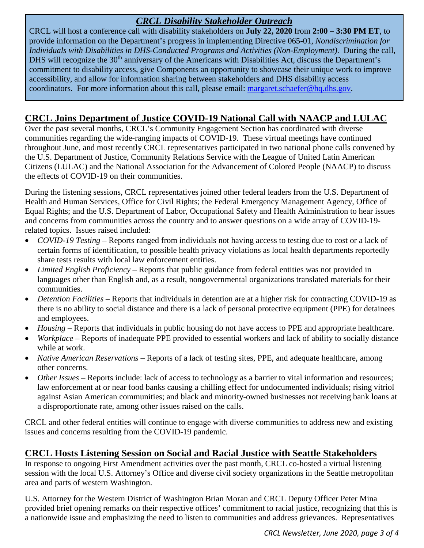## *CRCL Disability Stakeholder Outreach*

CRCL will host a conference call with disability stakeholders on **July 22, 2020** from **2:00 – 3:30 PM ET**, to provide information on the Department's progress in implementing Directive 065-01, *Nondiscrimination for Individuals with Disabilities in DHS-Conducted Programs and Activities (Non-Employment)*. During the call, DHS will recognize the 30<sup>th</sup> anniversary of the Americans with Disabilities Act, discuss the Department's commitment to disability access, give Components an opportunity to showcase their unique work to improve accessibility, and allow for information sharing between stakeholders and DHS disability access coordinators. For more information about this call, please email: [margaret.schaefer@hq.dhs.gov.](mailto:margaret.schaefer@hq.dhs.gov)

## <span id="page-2-0"></span>**CRCL Joins Department of Justice COVID-19 National Call with NAACP and LULAC**

Over the past several months, CRCL's Community Engagement Section has coordinated with diverse communities regarding the wide-ranging impacts of COVID-19. These virtual meetings have continued throughout June, and most recently CRCL representatives participated in two national phone calls convened by the U.S. Department of Justice, Community Relations Service with the League of United Latin American Citizens (LULAC) and the National Association for the Advancement of Colored People (NAACP) to discuss the effects of COVID-19 on their communities.

During the listening sessions, CRCL representatives joined other federal leaders from the U.S. Department of Health and Human Services, Office for Civil Rights; the Federal Emergency Management Agency, Office of Equal Rights; and the U.S. Department of Labor, Occupational Safety and Health Administration to hear issues and concerns from communities across the country and to answer questions on a wide array of COVID-19 related topics. Issues raised included:

- *COVID-19 Testing* Reports ranged from individuals not having access to testing due to cost or a lack of certain forms of identification, to possible health privacy violations as local health departments reportedly share tests results with local law enforcement entities.
- *Limited English Proficiency* Reports that public guidance from federal entities was not provided in languages other than English and, as a result, nongovernmental organizations translated materials for their communities.
- *Detention Facilities*  Reports that individuals in detention are at a higher risk for contracting COVID-19 as there is no ability to social distance and there is a lack of personal protective equipment (PPE) for detainees and employees.
- *Housing* Reports that individuals in public housing do not have access to PPE and appropriate healthcare.
- *Workplace* Reports of inadequate PPE provided to essential workers and lack of ability to socially distance while at work.
- *Native American Reservations* Reports of a lack of testing sites, PPE, and adequate healthcare, among other concerns.
- *Other Issues* Reports include: lack of access to technology as a barrier to vital information and resources; law enforcement at or near food banks causing a chilling effect for undocumented individuals; rising vitriol against Asian American communities; and black and minority-owned businesses not receiving bank loans at a disproportionate rate, among other issues raised on the calls.

CRCL and other federal entities will continue to engage with diverse communities to address new and existing issues and concerns resulting from the COVID-19 pandemic.

# <span id="page-2-1"></span>**CRCL Hosts Listening Session on Social and Racial Justice with Seattle Stakeholders**

In response to ongoing First Amendment activities over the past month, CRCL co-hosted a virtual listening session with the local U.S. Attorney's Office and diverse civil society organizations in the Seattle metropolitan area and parts of western Washington.

U.S. Attorney for the Western District of Washington Brian Moran and CRCL Deputy Officer Peter Mina provided brief opening remarks on their respective offices' commitment to racial justice, recognizing that this is a nationwide issue and emphasizing the need to listen to communities and address grievances. Representatives